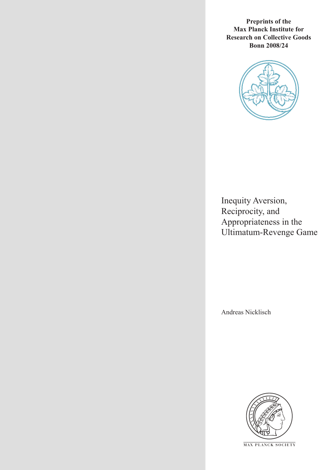**Preprints of the Max Planck Institute for Research on Collective Goods Bonn 2008/24**



Inequity Aversion, Reciprocity, and Appropriateness in the Ultimatum-Revenge Game

Andreas Nicklisch



**M AX P L A N C K S O C I E T Y**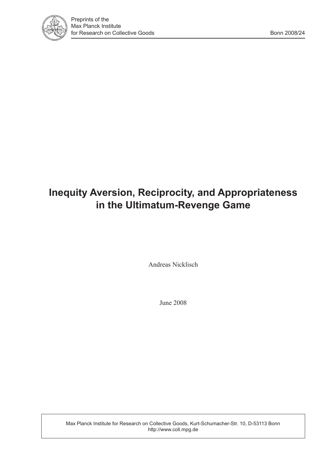

# **Inequity Aversion, Reciprocity, and Appropriateness in the Ultimatum-Revenge Game**

Andreas Nicklisch

June 2008

Max Planck Institute for Research on Collective Goods, Kurt-Schumacher-Str. 10, D-53113 Bonn http://www.coll.mpg.de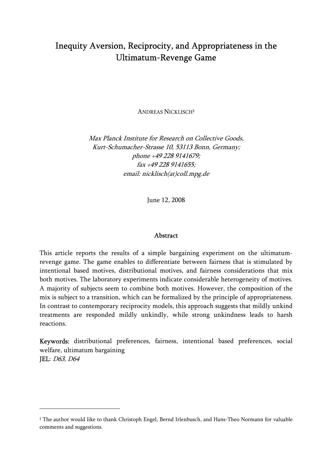# Inequity Aversion, Reciprocity, and Appropriateness in the Ultimatum-Revenge Game

ANDREAS NICKLISCH‡

Max Planck Institute for Research on Collective Goods, Kurt-Schumacher-Strasse 10, 53113 Bonn, Germany; phone +49 228 9141679; fax +49 228 9141655; email: nicklisch(at)coll.mpg.de

June 12, 2008

#### Abstract

This article reports the results of a simple bargaining experiment on the ultimatumrevenge game. The game enables to differentiate between fairness that is stimulated by intentional based motives, distributional motives, and fairness considerations that mix both motives. The laboratory experiments indicate considerable heterogeneity of motives. A majority of subjects seem to combine both motives. However, the composition of the mix is subject to a transition, which can be formalized by the principle of appropriateness. In contrast to contemporary reciprocity models, this approach suggests that mildly unkind treatments are responded mildly unkindly, while strong unkindness leads to harsh reactions.

Keywords: distributional preferences, fairness, intentional based preferences, social welfare, ultimatum bargaining JEL: D63, D64

<sup>‡</sup> The author would like to thank Christoph Engel, Bernd Irlenbusch, and Hans-Theo Normann for valuable comments and suggestions.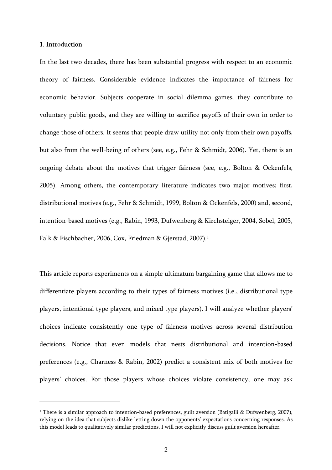#### 1. Introduction

 $\overline{a}$ 

In the last two decades, there has been substantial progress with respect to an economic theory of fairness. Considerable evidence indicates the importance of fairness for economic behavior. Subjects cooperate in social dilemma games, they contribute to voluntary public goods, and they are willing to sacrifice payoffs of their own in order to change those of others. It seems that people draw utility not only from their own payoffs, but also from the well-being of others (see, e.g., Fehr & Schmidt, 2006). Yet, there is an ongoing debate about the motives that trigger fairness (see, e.g., Bolton & Ockenfels, 2005). Among others, the contemporary literature indicates two major motives; first, distributional motives (e.g., Fehr & Schmidt, 1999, Bolton & Ockenfels, 2000) and, second, intention-based motives (e.g., Rabin, 1993, Dufwenberg & Kirchsteiger, 2004, Sobel, 2005, Falk & Fischbacher, 2006, Cox, Friedman & Gjerstad, 2007).<sup>1</sup>

This article reports experiments on a simple ultimatum bargaining game that allows me to differentiate players according to their types of fairness motives (i.e., distributional type players, intentional type players, and mixed type players). I will analyze whether players' choices indicate consistently one type of fairness motives across several distribution decisions. Notice that even models that nests distributional and intention-based preferences (e.g., Charness & Rabin, 2002) predict a consistent mix of both motives for players' choices. For those players whose choices violate consistency, one may ask

<sup>&</sup>lt;sup>1</sup> There is a similar approach to intention-based preferences, guilt aversion (Batigalli & Dufwenberg, 2007), relying on the idea that subjects dislike letting down the opponents' expectations concerning responses. As this model leads to qualitatively similar predictions, I will not explicitly discuss guilt aversion hereafter.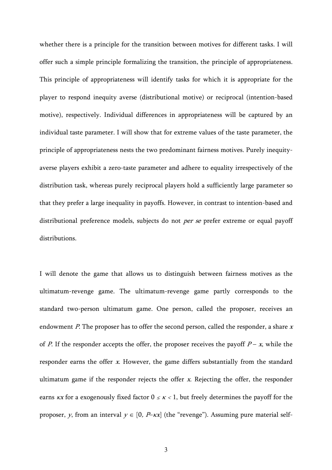whether there is a principle for the transition between motives for different tasks. I will offer such a simple principle formalizing the transition, the principle of appropriateness. This principle of appropriateness will identify tasks for which it is appropriate for the player to respond inequity averse (distributional motive) or reciprocal (intention-based motive), respectively. Individual differences in appropriateness will be captured by an individual taste parameter. I will show that for extreme values of the taste parameter, the principle of appropriateness nests the two predominant fairness motives. Purely inequityaverse players exhibit a zero-taste parameter and adhere to equality irrespectively of the distribution task, whereas purely reciprocal players hold a sufficiently large parameter so that they prefer a large inequality in payoffs. However, in contrast to intention-based and distributional preference models, subjects do not *per se* prefer extreme or equal payoff distributions.

I will denote the game that allows us to distinguish between fairness motives as the ultimatum-revenge game. The ultimatum-revenge game partly corresponds to the standard two-person ultimatum game. One person, called the proposer, receives an endowment  $P$ . The proposer has to offer the second person, called the responder, a share  $x$ of P. If the responder accepts the offer, the proposer receives the payoff  $P - x$ , while the responder earns the offer x. However, the game differs substantially from the standard ultimatum game if the responder rejects the offer  $x$ . Rejecting the offer, the responder earns  $kx$  for a exogenously fixed factor  $0 \leq k < 1$ , but freely determines the payoff for the proposer, y, from an interval  $y \in [0, P–\kappa x]$  (the "revenge"). Assuming pure material self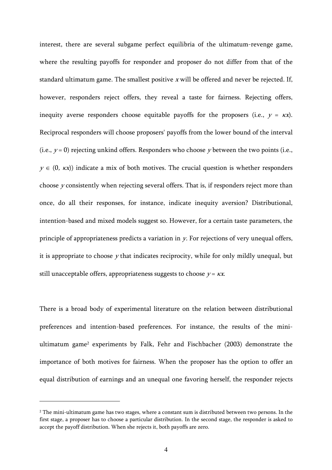interest, there are several subgame perfect equilibria of the ultimatum-revenge game, where the resulting payoffs for responder and proposer do not differ from that of the standard ultimatum game. The smallest positive  $x$  will be offered and never be rejected. If, however, responders reject offers, they reveal a taste for fairness. Rejecting offers, inequity averse responders choose equitable payoffs for the proposers (i.e.,  $y = kx$ ). Reciprocal responders will choose proposers' payoffs from the lower bound of the interval (i.e.,  $y = 0$ ) rejecting unkind offers. Responders who choose y between the two points (i.e.,  $y \in (0, \kappa x)$  indicate a mix of both motives. The crucial question is whether responders choose y consistently when rejecting several offers. That is, if responders reject more than once, do all their responses, for instance, indicate inequity aversion? Distributional, intention-based and mixed models suggest so. However, for a certain taste parameters, the principle of appropriateness predicts a variation in y. For rejections of very unequal offers, it is appropriate to choose  $y$  that indicates reciprocity, while for only mildly unequal, but still unacceptable offers, appropriateness suggests to choose  $y = kx$ .

There is a broad body of experimental literature on the relation between distributional preferences and intention-based preferences. For instance, the results of the miniultimatum game2 experiments by Falk, Fehr and Fischbacher (2003) demonstrate the importance of both motives for fairness. When the proposer has the option to offer an equal distribution of earnings and an unequal one favoring herself, the responder rejects

<sup>&</sup>lt;sup>2</sup> The mini-ultimatum game has two stages, where a constant sum is distributed between two persons. In the first stage, a proposer has to choose a particular distribution. In the second stage, the responder is asked to accept the payoff distribution. When she rejects it, both payoffs are zero.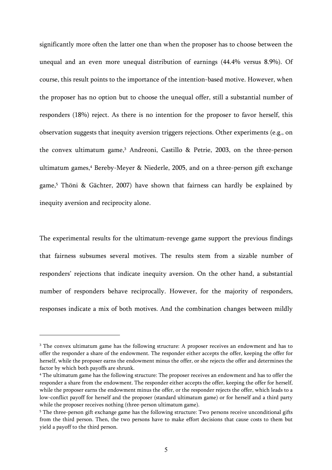significantly more often the latter one than when the proposer has to choose between the unequal and an even more unequal distribution of earnings (44.4% versus 8.9%). Of course, this result points to the importance of the intention-based motive. However, when the proposer has no option but to choose the unequal offer, still a substantial number of responders (18%) reject. As there is no intention for the proposer to favor herself, this observation suggests that inequity aversion triggers rejections. Other experiments (e.g., on the convex ultimatum game,<sup>3</sup> Andreoni, Castillo & Petrie, 2003, on the three-person ultimatum games,<sup>4</sup> Bereby-Meyer & Niederle, 2005, and on a three-person gift exchange game,5 Thöni & Gächter, 2007) have shown that fairness can hardly be explained by inequity aversion and reciprocity alone.

The experimental results for the ultimatum-revenge game support the previous findings that fairness subsumes several motives. The results stem from a sizable number of responders' rejections that indicate inequity aversion. On the other hand, a substantial number of responders behave reciprocally. However, for the majority of responders, responses indicate a mix of both motives. And the combination changes between mildly

<sup>&</sup>lt;sup>3</sup> The convex ultimatum game has the following structure: A proposer receives an endowment and has to offer the responder a share of the endowment. The responder either accepts the offer, keeping the offer for herself, while the proposer earns the endowment minus the offer, or she rejects the offer and determines the factor by which both payoffs are shrunk.

<sup>4</sup> The ultimatum game has the following structure: The proposer receives an endowment and has to offer the responder a share from the endowment. The responder either accepts the offer, keeping the offer for herself, while the proposer earns the endowment minus the offer, or the responder rejects the offer, which leads to a low-conflict payoff for herself and the proposer (standard ultimatum game) or for herself and a third party while the proposer receives nothing (three-person ultimatum game).

<sup>&</sup>lt;sup>5</sup> The three-person gift exchange game has the following structure: Two persons receive unconditional gifts from the third person. Then, the two persons have to make effort decisions that cause costs to them but yield a payoff to the third person.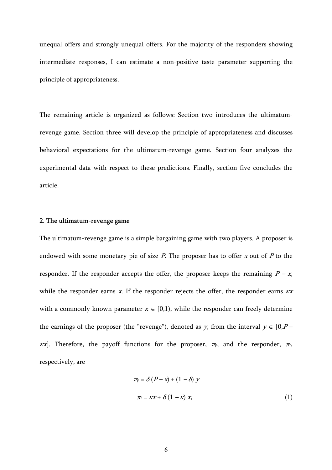unequal offers and strongly unequal offers. For the majority of the responders showing intermediate responses, I can estimate a non-positive taste parameter supporting the principle of appropriateness.

The remaining article is organized as follows: Section two introduces the ultimatumrevenge game. Section three will develop the principle of appropriateness and discusses behavioral expectations for the ultimatum-revenge game. Section four analyzes the experimental data with respect to these predictions. Finally, section five concludes the article.

# 2. The ultimatum-revenge game

The ultimatum-revenge game is a simple bargaining game with two players. A proposer is endowed with some monetary pie of size  $P$ . The proposer has to offer  $x$  out of  $P$  to the responder. If the responder accepts the offer, the proposer keeps the remaining  $P - x$ , while the responder earns x. If the responder rejects the offer, the responder earns  $\kappa x$ with a commonly known parameter  $\kappa \in [0,1)$ , while the responder can freely determine the earnings of the proposer (the "revenge"), denoted as y, from the interval  $y \in [0, P \kappa x$ ]. Therefore, the payoff functions for the proposer,  $\pi_{p}$ , and the responder,  $\pi_{r}$ , respectively, are

$$
\pi_{P} = \delta (P - x) + (1 - \delta) y
$$
  

$$
\pi_{F} = kx + \delta (1 - k) x,
$$
 (1)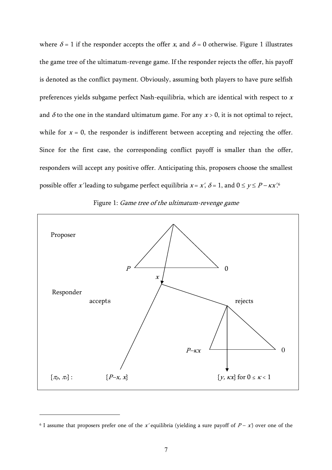where  $\delta = 1$  if the responder accepts the offer x, and  $\delta = 0$  otherwise. Figure 1 illustrates the game tree of the ultimatum-revenge game. If the responder rejects the offer, his payoff is denoted as the conflict payment. Obviously, assuming both players to have pure selfish preferences yields subgame perfect Nash-equilibria, which are identical with respect to <sup>x</sup> and  $\delta$  to the one in the standard ultimatum game. For any  $x > 0$ , it is not optimal to reject, while for  $x = 0$ , the responder is indifferent between accepting and rejecting the offer. Since for the first case, the corresponding conflict payoff is smaller than the offer, responders will accept any positive offer. Anticipating this, proposers choose the smallest possible offer x'leading to subgame perfect equilibria  $x = x'$ ,  $\delta = 1$ , and  $0 \le y \le P - \kappa x'^6$ 



Figure 1: Game tree of the ultimatum-revenge game

<sup>&</sup>lt;sup>6</sup> I assume that proposers prefer one of the x' equilibria (yielding a sure payoff of  $P - x'$ ) over one of the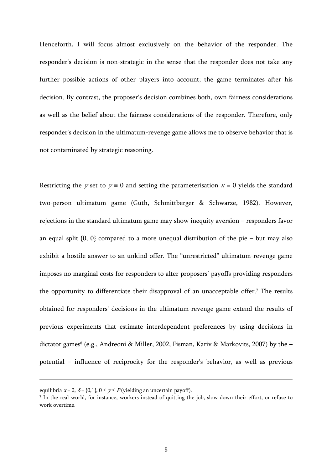Henceforth, I will focus almost exclusively on the behavior of the responder. The responder's decision is non-strategic in the sense that the responder does not take any further possible actions of other players into account; the game terminates after his decision. By contrast, the proposer's decision combines both, own fairness considerations as well as the belief about the fairness considerations of the responder. Therefore, only responder's decision in the ultimatum-revenge game allows me to observe behavior that is not contaminated by strategic reasoning.

Restricting the y set to  $y = 0$  and setting the parameterisation  $\kappa = 0$  yields the standard two-person ultimatum game (Güth, Schmittberger & Schwarze, 1982). However, rejections in the standard ultimatum game may show inequity aversion – responders favor an equal split  $\{0, 0\}$  compared to a more unequal distribution of the pie – but may also exhibit a hostile answer to an unkind offer. The "unrestricted" ultimatum-revenge game imposes no marginal costs for responders to alter proposers' payoffs providing responders the opportunity to differentiate their disapproval of an unacceptable offer.7 The results obtained for responders' decisions in the ultimatum-revenge game extend the results of previous experiments that estimate interdependent preferences by using decisions in dictator games<sup>8</sup> (e.g., Andreoni & Miller, 2002, Fisman, Kariv & Markovits, 2007) by the  $$ potential – influence of reciprocity for the responder's behavior, as well as previous

equilibria  $x = 0$ ,  $\delta = \{0,1\}$ ,  $0 \le y \le P$  (yielding an uncertain payoff).

<sup>7</sup> In the real world, for instance, workers instead of quitting the job, slow down their effort, or refuse to work overtime.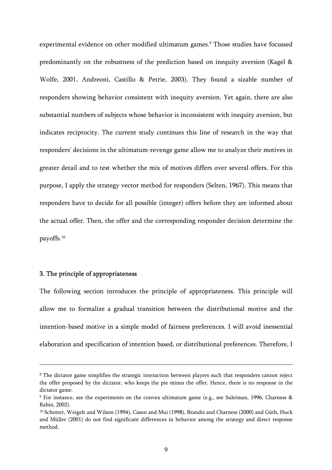experimental evidence on other modified ultimatum games.<sup>9</sup> Those studies have focussed predominantly on the robustness of the prediction based on inequity aversion (Kagel & Wolfe, 2001, Andreoni, Castillo & Petrie, 2003). They found a sizable number of responders showing behavior consistent with inequity aversion. Yet again, there are also substantial numbers of subjects whose behavior is inconsistent with inequity aversion, but indicates reciprocity. The current study continues this line of research in the way that responders' decisions in the ultimatum-revenge game allow me to analyze their motives in greater detail and to test whether the mix of motives differs over several offers. For this purpose, I apply the strategy vector method for responders (Selten, 1967). This means that responders have to decide for all possible (integer) offers before they are informed about the actual offer. Then, the offer and the corresponding responder decision determine the payoffs.10

# 3. The principle of appropriateness

 $\overline{a}$ 

The following section introduces the principle of appropriateness. This principle will allow me to formalize a gradual transition between the distributional motive and the intention-based motive in a simple model of fairness preferences. I will avoid inessential elaboration and specification of intention based, or distributional preferences. Therefore, I

<sup>&</sup>lt;sup>8</sup> The dictator game simplifies the strategic interaction between players such that responders cannot reject the offer proposed by the dictator, who keeps the pie minus the offer. Hence, there is no response in the dictator game.

<sup>9</sup> For instance, see the experiments on the convex ultimatum game (e.g., see Suleiman, 1996, Charness & Rabin, 2002).

<sup>10</sup> Schotter, Weigelt and Wilson (1994), Cason and Mui (1998), Brandts and Charness (2000) and Güth, Huck and Müller (2001) do not find significant differences in behavior among the strategy and direct response method.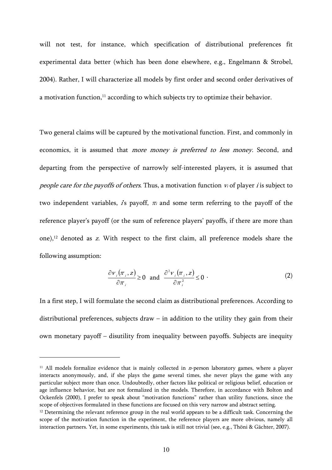will not test, for instance, which specification of distributional preferences fit experimental data better (which has been done elsewhere, e.g., Engelmann & Strobel, 2004). Rather, I will characterize all models by first order and second order derivatives of a motivation function, $11$  according to which subjects try to optimize their behavior.

Two general claims will be captured by the motivational function. First, and commonly in economics, it is assumed that more money is preferred to less money. Second, and departing from the perspective of narrowly self-interested players, it is assumed that people care for the payoffs of others. Thus, a motivation function  $v_i$  of player *i* is subject to two independent variables, is payoff,  $\pi$  and some term referring to the payoff of the reference player's payoff (or the sum of reference players' payoffs, if there are more than one),<sup>12</sup> denoted as z. With respect to the first claim, all preference models share the following assumption:

$$
\frac{\partial v_i(\pi_i, z)}{\partial \pi_i} \ge 0 \quad \text{and} \quad \frac{\partial^2 v_i(\pi_i, z)}{\partial \pi_i^2} \le 0 \tag{2}
$$

In a first step, I will formulate the second claim as distributional preferences. According to distributional preferences, subjects draw – in addition to the utility they gain from their own monetary payoff – disutility from inequality between payoffs. Subjects are inequity

<sup>&</sup>lt;sup>11</sup> All models formalize evidence that is mainly collected in  $n$ -person laboratory games, where a player interacts anonymously, and, if she plays the game several times, she never plays the game with any particular subject more than once. Undoubtedly, other factors like political or religious belief, education or age influence behavior, but are not formalized in the models. Therefore, in accordance with Bolton and Ockenfels (2000), I prefer to speak about "motivation functions" rather than utility functions, since the scope of objectives formulated in these functions are focused on this very narrow and abstract setting.

 $12$  Determining the relevant reference group in the real world appears to be a difficult task. Concerning the scope of the motivation function in the experiment, the reference players are more obvious, namely all interaction partners. Yet, in some experiments, this task is still not trivial (see, e.g., Thöni & Gächter, 2007).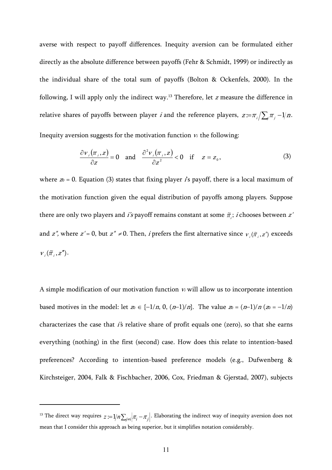averse with respect to payoff differences. Inequity aversion can be formulated either directly as the absolute difference between payoffs (Fehr & Schmidt, 1999) or indirectly as the individual share of the total sum of payoffs (Bolton & Ockenfels, 2000). In the following, I will apply only the indirect way.13 Therefore, let z measure the difference in relative shares of payoffs between player *i* and the reference players,  $z = \pi_i / \sum_i \pi_j - 1/n$ . Inequity aversion suggests for the motivation function  $v_i$  the following:

$$
\frac{\partial v_i(\pi_i, z)}{\partial z} = 0 \quad \text{and} \quad \frac{\partial^2 v_i(\pi_i, z)}{\partial z^2} < 0 \quad \text{if} \quad z = z_0,
$$
 (3)

where  $\infty = 0$ . Equation (3) states that fixing player is payoff, there is a local maximum of the motivation function given the equal distribution of payoffs among players. Suppose there are only two players and *i's* payoff remains constant at some  $\tilde{\pi}$ ; *i* chooses between *z'* and z'', where  $z' = 0$ , but  $z'' \neq 0$ . Then, *i* prefers the first alternative since  $v_i(\tilde{\pi}_i, z')$  exceeds  $V_{i}(\widetilde{\pi}_{i}, z'')$ .

A simple modification of our motivation function  $v_i$  will allow us to incorporate intention based motives in the model: let  $z_0 \in \{-1/n, 0, (n-1)/n\}$ . The value  $z_0 = (n-1)/n$  ( $z_0 = -1/n$ ) characterizes the case that  $i$ 's relative share of profit equals one (zero), so that she earns everything (nothing) in the first (second) case. How does this relate to intention-based preferences? According to intention-based preference models (e.g., Dufwenberg & Kirchsteiger, 2004, Falk & Fischbacher, 2006, Cox, Friedman & Gjerstad, 2007), subjects

<sup>&</sup>lt;sup>13</sup> The direct way requires  $z = 1/n \sum_{i \neq i} |\pi_i - \pi_j|$ . Elaborating the indirect way of inequity aversion does not mean that I consider this approach as being superior, but it simplifies notation considerably.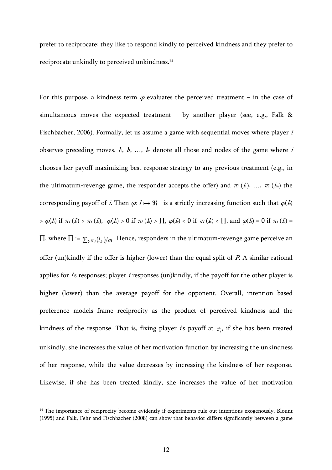prefer to reciprocate; they like to respond kindly to perceived kindness and they prefer to reciprocate unkindly to perceived unkindness.14

For this purpose, a kindness term  $\varphi$  evaluates the perceived treatment – in the case of simultaneous moves the expected treatment – by another player (see, e.g., Falk  $\&$ Fischbacher, 2006). Formally, let us assume a game with sequential moves where player *i* observes preceding moves.  $h, h, ..., h$  denote all those end nodes of the game where i chooses her payoff maximizing best response strategy to any previous treatment (e.g., in the ultimatum-revenge game, the responder accepts the offer) and  $\pi_i$  (h), ...,  $\pi_i$  (h) the corresponding payoff of i. Then  $\varphi$ :  $l \mapsto \Re$  is a strictly increasing function such that  $\varphi$ (ls)  $> \varphi(l_i)$  if  $\pi_i (k) > \pi_i (k)$ ,  $\varphi(l_s) > 0$  if  $\pi_i (k) > \prod_i \varphi(l_s) < 0$  if  $\pi_i (k) < \prod_i$  and  $\varphi(l_s) = 0$  if  $\pi_i (k) =$ ∏, where  $\Pi := \sum_k \pi_i(l_k)/m$ . Hence, responders in the ultimatum-revenge game perceive an offer (un)kindly if the offer is higher (lower) than the equal split of  $P$ . A similar rational applies for  $\hat{i}$ s responses; player  $\hat{i}$  responses (un)kindly, if the payoff for the other player is higher (lower) than the average payoff for the opponent. Overall, intention based preference models frame reciprocity as the product of perceived kindness and the kindness of the response. That is, fixing player is payoff at  $\tilde{\pi}$ , if she has been treated unkindly, she increases the value of her motivation function by increasing the unkindness of her response, while the value decreases by increasing the kindness of her response. Likewise, if she has been treated kindly, she increases the value of her motivation

<sup>&</sup>lt;sup>14</sup> The importance of reciprocity become evidently if experiments rule out intentions exogenously. Blount (1995) and Falk, Fehr and Fischbacher (2008) can show that behavior differs significantly between a game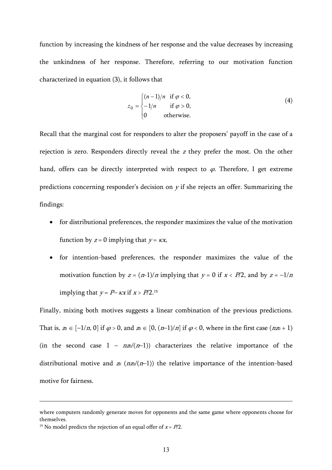function by increasing the kindness of her response and the value decreases by increasing the unkindness of her response. Therefore, referring to our motivation function characterized in equation (3), it follows that

$$
z_0 = \begin{cases} (n-1)/n & \text{if } \varphi < 0, \\ -1/n & \text{if } \varphi > 0, \\ 0 & \text{otherwise.} \end{cases}
$$
 (4)

Recall that the marginal cost for responders to alter the proposers' payoff in the case of a rejection is zero. Responders directly reveal the z they prefer the most. On the other hand, offers can be directly interpreted with respect to  $\varphi$ . Therefore, I get extreme predictions concerning responder's decision on  $y$  if she rejects an offer. Summarizing the findings:

- for distributional preferences, the responder maximizes the value of the motivation function by  $z = 0$  implying that  $y = kx$ ,
- for intention-based preferences, the responder maximizes the value of the motivation function by  $z = (n-1)/n$  implying that  $y = 0$  if  $x < P/2$ , and by  $z = -1/n$ implying that  $y = P - kx$  if  $x > P/2$ .<sup>15</sup>

Finally, mixing both motives suggests a linear combination of the previous predictions. That is,  $\infty \in [-1/n, 0]$  if  $\varphi > 0$ , and  $\infty \in [0, (n-1)/n]$  if  $\varphi < 0$ , where in the first case  $(n\pi + 1)$ (in the second case  $1 - n\omega/(n-1)$ ) characterizes the relative importance of the distributional motive and  $\infty$  ( $n\infty/(n-1)$ ) the relative importance of the intention-based motive for fairness.

where computers randomly generate moves for opponents and the same game where opponents choose for themselves.

<sup>&</sup>lt;sup>15</sup> No model predicts the rejection of an equal offer of  $x = P/2$ .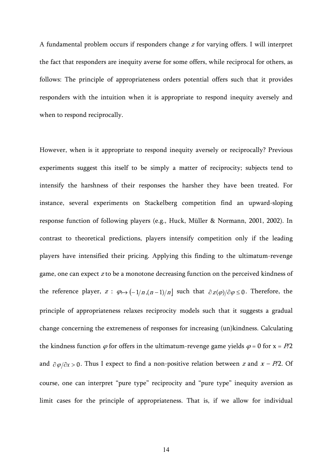A fundamental problem occurs if responders change z for varying offers. I will interpret the fact that responders are inequity averse for some offers, while reciprocal for others, as follows: The principle of appropriateness orders potential offers such that it provides responders with the intuition when it is appropriate to respond inequity aversely and when to respond reciprocally.

However, when is it appropriate to respond inequity aversely or reciprocally? Previous experiments suggest this itself to be simply a matter of reciprocity; subjects tend to intensify the harshness of their responses the harsher they have been treated. For instance, several experiments on Stackelberg competition find an upward-sloping response function of following players (e.g., Huck, Müller & Normann, 2001, 2002). In contrast to theoretical predictions, players intensify competition only if the leading players have intensified their pricing. Applying this finding to the ultimatum-revenge game, one can expect z to be a monotone decreasing function on the perceived kindness of the reference player,  $z : \varphi \mapsto (-1/n, (n-1)/n]$  such that  $\partial z(\varphi)/\partial \varphi \leq 0$ . Therefore, the principle of appropriateness relaxes reciprocity models such that it suggests a gradual change concerning the extremeness of responses for increasing (un)kindness. Calculating the kindness function  $\varphi$  for offers in the ultimatum-revenge game yields  $\varphi = 0$  for  $x = P/2$ and  $\partial \varphi / \partial x > 0$ . Thus I expect to find a non-positive relation between *z* and *x* – *P*/2. Of course, one can interpret "pure type" reciprocity and "pure type" inequity aversion as limit cases for the principle of appropriateness. That is, if we allow for individual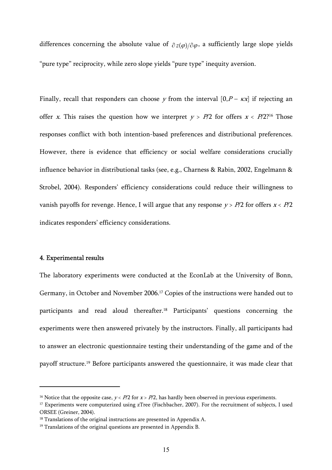differences concerning the absolute value of  $\partial z(\omega)/\partial \omega$ , a sufficiently large slope yields "pure type" reciprocity, while zero slope yields "pure type" inequity aversion.

Finally, recall that responders can choose y from the interval  $[0, P - \kappa x]$  if rejecting an offer x. This raises the question how we interpret  $y > P/2$  for offers  $x < P/2$ <sup>16</sup> Those responses conflict with both intention-based preferences and distributional preferences. However, there is evidence that efficiency or social welfare considerations crucially influence behavior in distributional tasks (see, e.g., Charness & Rabin, 2002, Engelmann & Strobel, 2004). Responders' efficiency considerations could reduce their willingness to vanish payoffs for revenge. Hence, I will argue that any response  $y > P/2$  for offers  $x < P/2$ indicates responders' efficiency considerations.

#### 4. Experimental results

 $\overline{a}$ 

The laboratory experiments were conducted at the EconLab at the University of Bonn, Germany, in October and November 2006.17 Copies of the instructions were handed out to participants and read aloud thereafter.18 Participants' questions concerning the experiments were then answered privately by the instructors. Finally, all participants had to answer an electronic questionnaire testing their understanding of the game and of the payoff structure.19 Before participants answered the questionnaire, it was made clear that

<sup>&</sup>lt;sup>16</sup> Notice that the opposite case,  $y < P/2$  for  $x > P/2$ , has hardly been observed in previous experiments.

<sup>&</sup>lt;sup>17</sup> Experiments were computerized using zTree (Fischbacher, 2007). For the recruitment of subjects, I used ORSEE (Greiner, 2004).

<sup>&</sup>lt;sup>18</sup> Translations of the original instructions are presented in Appendix A.

<sup>19</sup> Translations of the original questions are presented in Appendix B.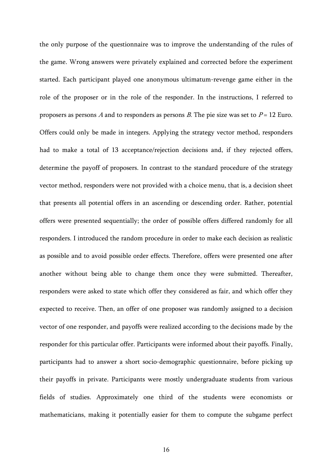the only purpose of the questionnaire was to improve the understanding of the rules of the game. Wrong answers were privately explained and corrected before the experiment started. Each participant played one anonymous ultimatum-revenge game either in the role of the proposer or in the role of the responder. In the instructions, I referred to proposers as persons A and to responders as persons B. The pie size was set to  $P = 12$  Euro. Offers could only be made in integers. Applying the strategy vector method, responders had to make a total of 13 acceptance/rejection decisions and, if they rejected offers, determine the payoff of proposers. In contrast to the standard procedure of the strategy vector method, responders were not provided with a choice menu, that is, a decision sheet that presents all potential offers in an ascending or descending order. Rather, potential offers were presented sequentially; the order of possible offers differed randomly for all responders. I introduced the random procedure in order to make each decision as realistic as possible and to avoid possible order effects. Therefore, offers were presented one after another without being able to change them once they were submitted. Thereafter, responders were asked to state which offer they considered as fair, and which offer they expected to receive. Then, an offer of one proposer was randomly assigned to a decision vector of one responder, and payoffs were realized according to the decisions made by the responder for this particular offer. Participants were informed about their payoffs. Finally, participants had to answer a short socio-demographic questionnaire, before picking up their payoffs in private. Participants were mostly undergraduate students from various fields of studies. Approximately one third of the students were economists or mathematicians, making it potentially easier for them to compute the subgame perfect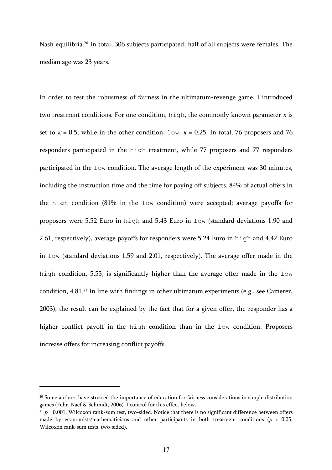Nash equilibria.20 In total, 306 subjects participated; half of all subjects were females. The median age was 23 years.

In order to test the robustness of fairness in the ultimatum-revenge game, I introduced two treatment conditions. For one condition, high, the commonly known parameter  $\kappa$  is set to  $\kappa = 0.5$ , while in the other condition,  $1 \circ w$ ,  $\kappa = 0.25$ . In total, 76 proposers and 76 responders participated in the high treatment, while 77 proposers and 77 responders participated in the low condition. The average length of the experiment was 30 minutes, including the instruction time and the time for paying off subjects. 84% of actual offers in the high condition (81% in the low condition) were accepted; average payoffs for proposers were 5.52 Euro in high and 5.43 Euro in low (standard deviations 1.90 and 2.61, respectively), average payoffs for responders were 5.24 Euro in high and 4.42 Euro in low (standard deviations 1.59 and 2.01, respectively). The average offer made in the high condition, 5.55, is significantly higher than the average offer made in the low condition, 4.81.21 In line with findings in other ultimatum experiments (e.g., see Camerer, 2003), the result can be explained by the fact that for a given offer, the responder has a higher conflict payoff in the high condition than in the low condition. Proposers increase offers for increasing conflict payoffs.

<sup>&</sup>lt;sup>20</sup> Some authors have stressed the importance of education for fairness considerations in simple distribution games (Fehr, Naef & Schmidt, 2006). I control for this effect below.

 $21 p = 0.001$ , Wilcoxon rank-sum test, two-sided. Notice that there is no significant difference between offers made by economists/mathematicians and other participants in both treatment conditions ( $p > 0.05$ , Wilcoxon rank-sum tests, two-sided).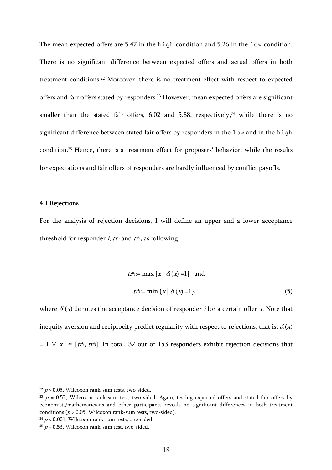The mean expected offers are 5.47 in the high condition and 5.26 in the low condition. There is no significant difference between expected offers and actual offers in both treatment conditions.22 Moreover, there is no treatment effect with respect to expected offers and fair offers stated by responders.23 However, mean expected offers are significant smaller than the stated fair offers,  $6.02$  and  $5.88$ , respectively,<sup>24</sup> while there is no significant difference between stated fair offers by responders in the low and in the high condition.25 Hence, there is a treatment effect for proposers' behavior, while the results for expectations and fair offers of responders are hardly influenced by conflict payoffs.

#### 4.1 Rejections

 $\overline{a}$ 

For the analysis of rejection decisions, I will define an upper and a lower acceptance threshold for responder *i, tr*<sup>u</sup>i and *tr*<sup>i</sup>i, as following

$$
tr^{u_{i}} := \max \{x \mid \delta(x) = 1\} \text{ and}
$$
  

$$
tr^{u_{i}} := \min \{x \mid \delta(x) = 1\},
$$
 (5)

where  $\delta(x)$  denotes the acceptance decision of responder *i* for a certain offer *x*. Note that inequity aversion and reciprocity predict regularity with respect to rejections, that is,  $\delta(x)$  $= 1 \forall x \in [tt^i, tt^{u_i}]$ . In total, 32 out of 153 responders exhibit rejection decisions that

 $24 p < 0.001$ , Wilcoxon rank-sum tests, one-sided.

 $22 p > 0.05$ , Wilcoxon rank-sum tests, two-sided.

 $23$  p = 0.52, Wilcoxon rank-sum test, two-sided. Again, testing expected offers and stated fair offers by economists/mathematicians and other participants reveals no significant differences in both treatment conditions ( $p > 0.05$ , Wilcoxon rank-sum tests, two-sided).

<sup>&</sup>lt;sup>25</sup>  $p = 0.53$ , Wilcoxon rank-sum test, two-sided.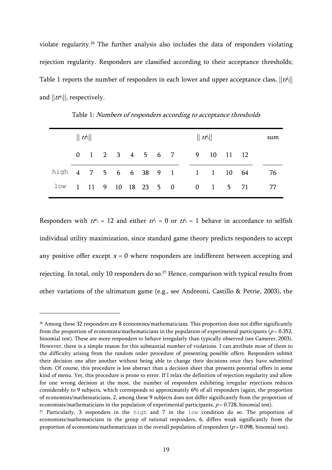violate regularity.26 The further analysis also includes the data of responders violating rejection regularity. Responders are classified according to their acceptance thresholds; Table 1 reports the number of responders in each lower and upper acceptance class,  $||$ t $t^{\text{I}}$ i $||$ and  $||tr<sup>u</sup><sub>i</sub>||$ , respectively.

|                                                               | $\ tt^i\ $ |  |  |  |  |  |  | $  $ $tr^1$ |                            |  |  | sum |    |
|---------------------------------------------------------------|------------|--|--|--|--|--|--|-------------|----------------------------|--|--|-----|----|
|                                                               |            |  |  |  |  |  |  |             | 0 1 2 3 4 5 6 7 9 10 11 12 |  |  |     |    |
| high $4 \t 7 \t 5 \t 6 \t 6 \t 38 \t 9 \t 1 \t 1 \t 10 \t 64$ |            |  |  |  |  |  |  |             |                            |  |  |     | 76 |
| $1 \circ w$ 1 11 9 10 18 23 5 0 0 1 5 71                      |            |  |  |  |  |  |  |             |                            |  |  |     | 77 |

Table 1: Numbers of responders according to acceptance thresholds

Responders with  $tr^{u_i} = 12$  and either  $tr^{u_i} = 0$  or  $tr^{u_i} = 1$  behave in accordance to selfish individual utility maximization, since standard game theory predicts responders to accept any positive offer except  $x = 0$  where responders are indifferent between accepting and rejecting. In total, only 10 responders do so.<sup>27</sup> Hence, comparison with typical results from other variations of the ultimatum game (e.g., see Andreoni, Castillo & Petrie, 2003), the

<sup>&</sup>lt;sup>26</sup> Among these 32 responders are 8 economists/mathematicians. This proportion does not differ significantly from the proportion of economists/mathematicians in the population of experimental participants ( $p = 0.352$ , binomial test). These are more responders to behave irregularly than typically observed (see Camerer, 2003). However, there is a simple reason for this substantial number of violations. I can attribute most of them to the difficulty arising from the random order procedure of presenting possible offers. Responders submit their decision one after another without being able to change their decisions once they have submitted them. Of course, this procedure is less abstract than a decision sheet that presents potential offers in some kind of menu. Yet, this procedure is prone to error. If I relax the definition of rejection regularity and allow for one wrong decision at the most, the number of responders exhibiting irregular rejections reduces considerably to 9 subjects, which corresponds to approximately 6% of all responders (again, the proportion of economists/mathematicians, 2, among these 9 subjects does not differ significantly from the proportion of economists/mathematicians in the population of experimental participants,  $p = 0.728$ , binomial test).

<sup>&</sup>lt;sup>27</sup> Particularly, 3 responders in the high and 7 in the  $1$ ow condition do so. The proportion of economists/mathematicians in the group of rational responders, 6, differs weak significantly from the proportion of economists/mathematicians in the overall population of responders ( $p = 0.098$ , binomial test).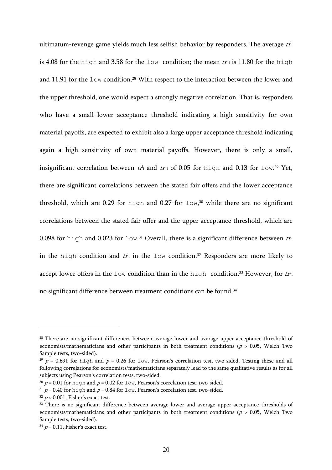ultimatum-revenge game yields much less selfish behavior by responders. The average  $\,t\!P\!i}$ is 4.08 for the high and 3.58 for the low condition; the mean  $tt^u$  is 11.80 for the high and 11.91 for the low condition.<sup>28</sup> With respect to the interaction between the lower and the upper threshold, one would expect a strongly negative correlation. That is, responders who have a small lower acceptance threshold indicating a high sensitivity for own material payoffs, are expected to exhibit also a large upper acceptance threshold indicating again a high sensitivity of own material payoffs. However, there is only a small, insignificant correlation between  $t r_1$  and  $t r_1$  of 0.05 for high and 0.13 for low.<sup>29</sup> Yet, there are significant correlations between the stated fair offers and the lower acceptance threshold, which are 0.29 for high and 0.27 for  $1 \circ w$ ,<sup>30</sup> while there are no significant correlations between the stated fair offer and the upper acceptance threshold, which are 0.098 for <code>high</code> and 0.023 for <code>low.31</code> Overall, there is a significant difference between  $t\vec{r}$ in the high condition and  $tr$ <sup>1</sup> in the low condition.<sup>32</sup> Responders are more likely to accept lower offers in the low condition than in the high condition.<sup>33</sup> However, for  $tr^{u_i}$ no significant difference between treatment conditions can be found.<sup>34</sup>

<sup>&</sup>lt;sup>28</sup> There are no significant differences between average lower and average upper acceptance threshold of economists/mathematicians and other participants in both treatment conditions ( $p > 0.05$ , Welch Two Sample tests, two-sided).

<sup>&</sup>lt;sup>29</sup>  $p = 0.691$  for high and  $p = 0.26$  for low, Pearson's correlation test, two-sided. Testing these and all following correlations for economists/mathematicians separately lead to the same qualitative results as for all subjects using Pearson's correlation tests, two-sided.

<sup>&</sup>lt;sup>30</sup>  $p = 0.01$  for high and  $p = 0.02$  for low, Pearson's correlation test, two-sided.

<sup>&</sup>lt;sup>31</sup>  $p = 0.40$  for high and  $p = 0.84$  for low, Pearson's correlation test, two-sided.

 $32 p < 0.001$ , Fisher's exact test.

<sup>&</sup>lt;sup>33</sup> There is no significant difference between average lower and average upper acceptance thresholds of economists/mathematicians and other participants in both treatment conditions ( $p > 0.05$ , Welch Two Sample tests, two-sided).

 $34 p = 0.11$ , Fisher's exact test.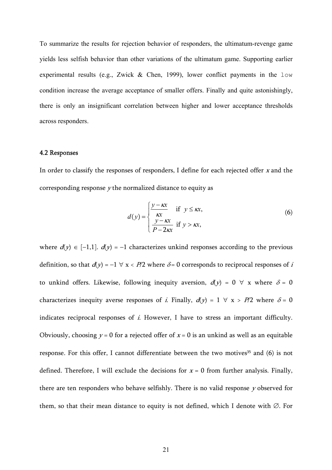To summarize the results for rejection behavior of responders, the ultimatum-revenge game yields less selfish behavior than other variations of the ultimatum game. Supporting earlier experimental results (e.g., Zwick  $\&$  Chen, 1999), lower conflict payments in the low condition increase the average acceptance of smaller offers. Finally and quite astonishingly, there is only an insignificant correlation between higher and lower acceptance thresholds across responders.

#### 4.2 Responses

In order to classify the responses of responders, I define for each rejected offer  $x$  and the corresponding response  $y$  the normalized distance to equity as

$$
d(y) = \begin{cases} \frac{y - \kappa x}{\kappa x} & \text{if } y \leq \kappa x, \\ \frac{y - \kappa x}{P - 2\kappa x} & \text{if } y > \kappa x, \end{cases}
$$
 (6)

where  $d(y) \in [-1,1]$ .  $d(y) = -1$  characterizes unkind responses according to the previous definition, so that  $d(y) = -1 \forall x < P/2$  where  $\delta = 0$  corresponds to reciprocal responses of i to unkind offers. Likewise, following inequity aversion,  $d(y) = 0 \forall x$  where  $\delta = 0$ characterizes inequity averse responses of *i*. Finally,  $d(y) = 1 \forall x > P/2$  where  $\delta = 0$ indicates reciprocal responses of *i*. However, I have to stress an important difficulty. Obviously, choosing  $y = 0$  for a rejected offer of  $x = 0$  is an unkind as well as an equitable response. For this offer, I cannot differentiate between the two motives<sup>35</sup> and  $(6)$  is not defined. Therefore, I will exclude the decisions for  $x = 0$  from further analysis. Finally, there are ten responders who behave selfishly. There is no valid response y observed for them, so that their mean distance to equity is not defined, which I denote with ∅. For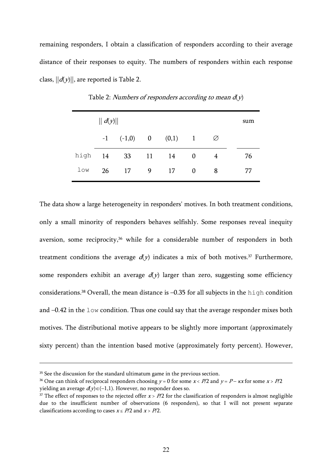remaining responders, I obtain a classification of responders according to their average distance of their responses to equity. The numbers of responders within each response class,  $||d(y)||$ , are reported is Table 2.

|      | $\  d(y) \ $ | sum                       |     |    |              |   |    |
|------|--------------|---------------------------|-----|----|--------------|---|----|
|      |              | $-1$ $(-1,0)$ 0 $(0,1)$ 1 |     |    |              | Ø |    |
| high | 14           | 33                        | 11  | 14 | $\mathbf{0}$ | 4 | 76 |
| low  | 26           | 17                        | - 9 | 17 | $\Omega$     | 8 | 77 |

Table 2: Numbers of responders according to mean  $d(y)$ 

The data show a large heterogeneity in responders' motives. In both treatment conditions, only a small minority of responders behaves selfishly. Some responses reveal inequity aversion, some reciprocity,<sup>36</sup> while for a considerable number of responders in both treatment conditions the average  $d(y)$  indicates a mix of both motives.<sup>37</sup> Furthermore, some responders exhibit an average  $d(y)$  larger than zero, suggesting some efficiency considerations.38 Overall, the mean distance is –0.35 for all subjects in the high condition and –0.42 in the low condition. Thus one could say that the average responder mixes both motives. The distributional motive appears to be slightly more important (approximately sixty percent) than the intention based motive (approximately forty percent). However,

<sup>&</sup>lt;sup>35</sup> See the discussion for the standard ultimatum game in the previous section.

<sup>&</sup>lt;sup>36</sup> One can think of reciprocal responders choosing  $y = 0$  for some  $x < P/2$  and  $y = P - kx$  for some  $x > P/2$ yielding an average  $d(y) ∈ (−1,1)$ . However, no responder does so.

<sup>&</sup>lt;sup>37</sup> The effect of responses to the rejected offer  $x > P/2$  for the classification of responders is almost negligible due to the insufficient number of observations (6 responders), so that I will not present separate classifications according to cases  $x \le P/2$  and  $x > P/2$ .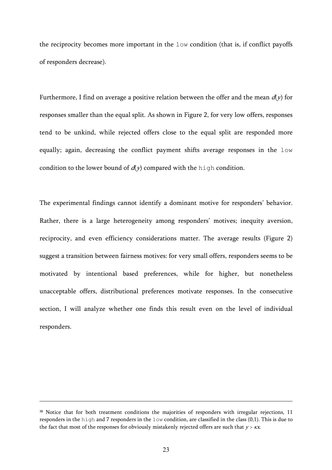the reciprocity becomes more important in the low condition (that is, if conflict payoffs of responders decrease).

Furthermore, I find on average a positive relation between the offer and the mean  $d(y)$  for responses smaller than the equal split. As shown in Figure 2, for very low offers, responses tend to be unkind, while rejected offers close to the equal split are responded more equally; again, decreasing the conflict payment shifts average responses in the low condition to the lower bound of  $d(y)$  compared with the high condition.

The experimental findings cannot identify a dominant motive for responders' behavior. Rather, there is a large heterogeneity among responders' motives; inequity aversion, reciprocity, and even efficiency considerations matter. The average results (Figure 2) suggest a transition between fairness motives: for very small offers, responders seems to be motivated by intentional based preferences, while for higher, but nonetheless unacceptable offers, distributional preferences motivate responses. In the consecutive section, I will analyze whether one finds this result even on the level of individual responders.

<sup>&</sup>lt;sup>38</sup> Notice that for both treatment conditions the majorities of responders with irregular rejections, 11 responders in the high and 7 responders in the low condition, are classified in the class (0,1). This is due to the fact that most of the responses for obviously mistakenly rejected offers are such that  $y > kx$ .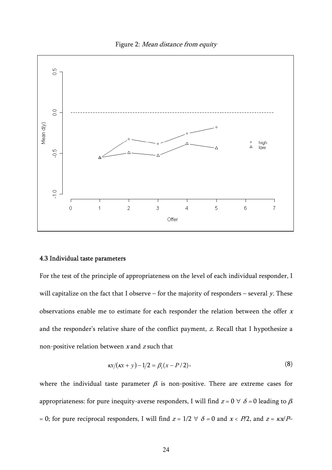



#### 4.3 Individual taste parameters

For the test of the principle of appropriateness on the level of each individual responder, I will capitalize on the fact that I observe – for the majority of responders – several  $y$ . These observations enable me to estimate for each responder the relation between the offer <sup>x</sup> and the responder's relative share of the conflict payment, z. Recall that I hypothesize a non-positive relation between  $x$  and  $z$  such that

$$
\kappa x/(\kappa x+y)-1/2=\beta_i(x-P/2),\qquad(8)
$$

where the individual taste parameter  $\beta$  is non-positive. There are extreme cases for appropriateness: for pure inequity-averse responders, I will find  $z = 0 \ \forall \ \delta = 0$  leading to  $\beta$ = 0; for pure reciprocal responders, I will find  $z = 1/2 \forall \delta = 0$  and  $x \le P/2$ , and  $z = \kappa x/P$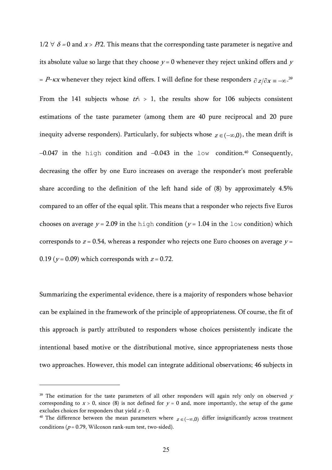$1/2 \forall \delta = 0$  and  $x > P/2$ . This means that the corresponding taste parameter is negative and its absolute value so large that they choose  $y = 0$  whenever they reject unkind offers and y = P– $\kappa x$  whenever they reject kind offers. I will define for these responders  $\partial \, z / \partial x$  = –∞. $^{39}$ From the 141 subjects whose  $tr_i^l > 1$ , the results show for 106 subjects consistent estimations of the taste parameter (among them are 40 pure reciprocal and 20 pure inequity adverse responders). Particularly, for subjects whose  $z \in (-\infty,0)$ , the mean drift is  $-0.047$  in the high condition and  $-0.043$  in the low condition.<sup>40</sup> Consequently, decreasing the offer by one Euro increases on average the responder's most preferable share according to the definition of the left hand side of (8) by approximately 4.5% compared to an offer of the equal split. This means that a responder who rejects five Euros chooses on average  $y = 2.09$  in the high condition ( $y = 1.04$  in the low condition) which corresponds to  $z = 0.54$ , whereas a responder who rejects one Euro chooses on average  $y =$ 0.19 ( $y = 0.09$ ) which corresponds with  $z = 0.72$ .

Summarizing the experimental evidence, there is a majority of responders whose behavior can be explained in the framework of the principle of appropriateness. Of course, the fit of this approach is partly attributed to responders whose choices persistently indicate the intentional based motive or the distributional motive, since appropriateness nests those two approaches. However, this model can integrate additional observations; 46 subjects in

 $39$  The estimation for the taste parameters of all other responders will again rely only on observed  $y$ corresponding to  $x > 0$ , since (8) is not defined for  $y = 0$  and, more importantly, the setup of the game excludes choices for responders that yield  $z > 0$ .<br><sup>40</sup> The difference between the mean parameters where  $z \in (-\infty,0)$  differ insignificantly across treatment

conditions ( $p = 0.79$ , Wilcoxon rank-sum test, two-sided).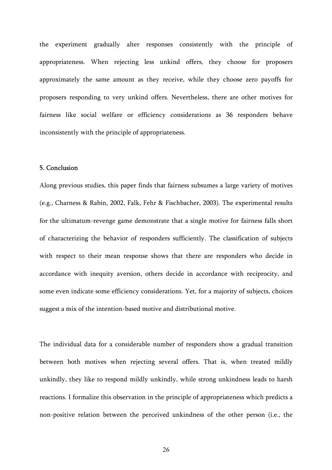the experiment gradually alter responses consistently with the principle of appropriateness. When rejecting less unkind offers, they choose for proposers approximately the same amount as they receive, while they choose zero payoffs for proposers responding to very unkind offers. Nevertheless, there are other motives for fairness like social welfare or efficiency considerations as 36 responders behave inconsistently with the principle of appropriateness.

# 5. Conclusion

Along previous studies, this paper finds that fairness subsumes a large variety of motives (e.g., Charness & Rabin, 2002, Falk, Fehr & Fischbacher, 2003). The experimental results for the ultimatum-revenge game demonstrate that a single motive for fairness falls short of characterizing the behavior of responders sufficiently. The classification of subjects with respect to their mean response shows that there are responders who decide in accordance with inequity aversion, others decide in accordance with reciprocity, and some even indicate some efficiency considerations. Yet, for a majority of subjects, choices suggest a mix of the intention-based motive and distributional motive.

The individual data for a considerable number of responders show a gradual transition between both motives when rejecting several offers. That is, when treated mildly unkindly, they like to respond mildly unkindly, while strong unkindness leads to harsh reactions. I formalize this observation in the principle of appropriateness which predicts a non-positive relation between the perceived unkindness of the other person (i.e., the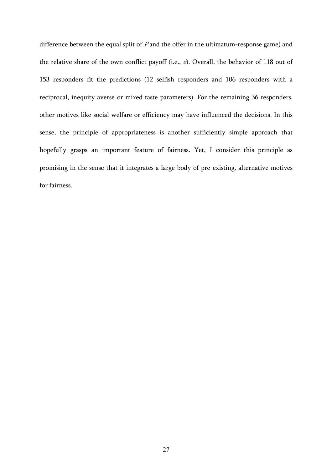difference between the equal split of  $P$  and the offer in the ultimatum-response game) and the relative share of the own conflict payoff (i.e., z). Overall, the behavior of 118 out of 153 responders fit the predictions (12 selfish responders and 106 responders with a reciprocal, inequity averse or mixed taste parameters). For the remaining 36 responders, other motives like social welfare or efficiency may have influenced the decisions. In this sense, the principle of appropriateness is another sufficiently simple approach that hopefully grasps an important feature of fairness. Yet, I consider this principle as promising in the sense that it integrates a large body of pre-existing, alternative motives for fairness.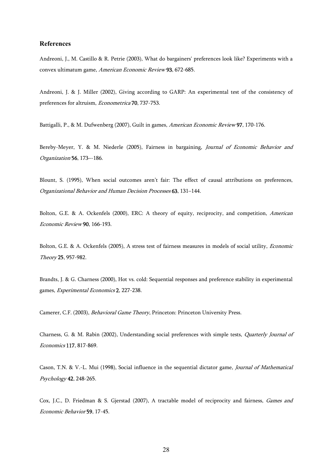#### **References**

Andreoni, J., M. Castillo & R. Petrie (2003), What do bargainers' preferences look like? Experiments with a convex ultimatum game, American Economic Review 93, 672-685.

Andreoni, J. & J. Miller (2002), Giving according to GARP: An experimental test of the consistency of preferences for altruism, Econometrica 70, 737-753.

Battigalli, P., & M. Dufwenberg (2007), Guilt in games, American Economic Review 97, 170-176.

Bereby-Meyer, Y. & M. Niederle (2005), Fairness in bargaining, Journal of Economic Behavior and Organization 56, 173–-186.

Blount, S. (1995), When social outcomes aren't fair: The effect of causal attributions on preferences, Organizational Behavior and Human Decision Processes 63, 131–144.

Bolton, G.E. & A. Ockenfels (2000), ERC: A theory of equity, reciprocity, and competition, American Economic Review 90, 166-193.

Bolton, G.E. & A. Ockenfels (2005), A stress test of fairness measures in models of social utility, Economic Theory 25, 957-982.

Brandts, J. & G. Charness (2000), Hot vs. cold: Sequential responses and preference stability in experimental games, Experimental Economics 2, 227-238.

Camerer, C.F. (2003), Behavioral Game Theory, Princeton: Princeton University Press.

Charness, G. & M. Rabin (2002), Understanding social preferences with simple tests, Quarterly Journal of Economics 117, 817-869.

Cason, T.N. & V.-L. Mui (1998), Social influence in the sequential dictator game, Journal of Mathematical Psychology 42, 248-265.

Cox, J.C., D. Friedman & S. Gjerstad (2007), A tractable model of reciprocity and fairness, Games and Economic Behavior 59, 17-45.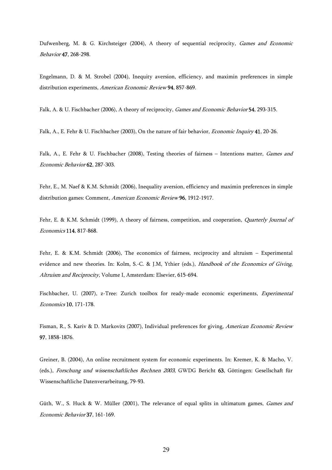Dufwenberg, M. & G. Kirchsteiger (2004), A theory of sequential reciprocity, Games and Economic Behavior 47, 268-298.

Engelmann, D. & M. Strobel (2004), Inequity aversion, efficiency, and maximin preferences in simple distribution experiments, American Economic Review 94, 857-869.

Falk, A. & U. Fischbacher (2006), A theory of reciprocity, *Games and Economic Behavior* 54, 293-315.

Falk, A., E. Fehr & U. Fischbacher (2003), On the nature of fair behavior, Economic Inquiry 41, 20-26.

Falk, A., E. Fehr & U. Fischbacher (2008), Testing theories of fairness - Intentions matter, *Games and* Economic Behavior 62, 287-303.

Fehr, E., M. Naef & K.M. Schmidt (2006), Inequality aversion, efficiency and maximin preferences in simple distribution games: Comment, American Economic Review 96, 1912-1917.

Fehr, E. & K.M. Schmidt (1999), A theory of fairness, competition, and cooperation, *Quarterly Journal of* Economics 114, 817-868.

Fehr, E. & K.M. Schmidt (2006), The economics of fairness, reciprocity and altruism – Experimental evidence and new theories. In: Kolm, S.-C. & J.M, Ythier (eds.), Handbook of the Economics of Giving, Altruism and Reciprocity, Volume I, Amsterdam: Elsevier, 615-694.

Fischbacher, U. (2007), z-Tree: Zurich toolbox for ready-made economic experiments, Experimental Economics 10, 171-178.

Fisman, R., S. Kariv & D. Markovits (2007), Individual preferences for giving, American Economic Review 97, 1858-1876.

Greiner, B. (2004), An online recruitment system for economic experiments. In: Kremer, K. & Macho, V. (eds.), Forschung und wissenschaftliches Rechnen 2003, GWDG Bericht 63, Göttingen: Gesellschaft für Wissenschaftliche Datenverarbeitung, 79-93.

Güth, W., S. Huck & W. Müller (2001), The relevance of equal splits in ultimatum games, *Games and* Economic Behavior 37, 161-169.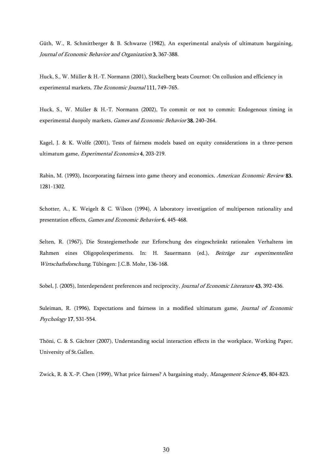Güth, W., R. Schmittberger & B. Schwarze (1982), An experimental analysis of ultimatum bargaining, Journal of Economic Behavior and Organization 3, 367-388.

Huck, S., W. Müller & H.-T. Normann (2001), Stackelberg beats Cournot: On collusion and efficiency in experimental markets, The Economic Journal 111, 749–765.

Huck, S., W. Müller & H.-T. Normann (2002), To commit or not to commit: Endogenous timing in experimental duopoly markets, Games and Economic Behavior 38, 240–264.

Kagel, J. & K. Wolfe (2001), Tests of fairness models based on equity considerations in a three-person ultimatum game, Experimental Economics 4, 203-219.

Rabin, M. (1993), Incorporating fairness into game theory and economics, *American Economic Review* 83, 1281-1302.

Schotter, A., K. Weigelt & C. Wilson (1994), A laboratory investigation of multiperson rationality and presentation effects, Games and Economic Behavior 6, 445-468.

Selten, R. (1967), Die Strategiemethode zur Erforschung des eingeschränkt rationalen Verhaltens im Rahmen eines Oligopolexperiments. In: H. Sauermann (ed.), Beiträge zur experimentellen Wirtschaftsforschung, Tübingen: J.C.B. Mohr, 136-168.

Sobel, J. (2005), Interdependent preferences and reciprocity, *Journal of Economic Literature* **43**, 392-436.

Suleiman, R. (1996), Expectations and fairness in a modified ultimatum game, Journal of Economic Psychology 17, 531-554.

Thöni, C. & S. Gächter (2007), Understanding social interaction effects in the workplace, Working Paper, University of St.Gallen.

Zwick, R. & X.-P. Chen (1999), What price fairness? A bargaining study, *Management Science* 45, 804-823.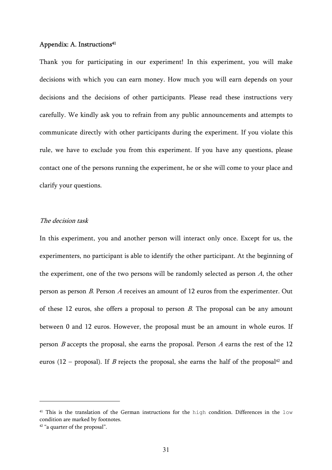#### Appendix: A. Instructions<sup>41</sup>

Thank you for participating in our experiment! In this experiment, you will make decisions with which you can earn money. How much you will earn depends on your decisions and the decisions of other participants. Please read these instructions very carefully. We kindly ask you to refrain from any public announcements and attempts to communicate directly with other participants during the experiment. If you violate this rule, we have to exclude you from this experiment. If you have any questions, please contact one of the persons running the experiment, he or she will come to your place and clarify your questions.

#### The decision task

In this experiment, you and another person will interact only once. Except for us, the experimenters, no participant is able to identify the other participant. At the beginning of the experiment, one of the two persons will be randomly selected as person A, the other person as person B. Person A receives an amount of 12 euros from the experimenter. Out of these 12 euros, she offers a proposal to person  $B$ . The proposal can be any amount between 0 and 12 euros. However, the proposal must be an amount in whole euros. If person  $B$  accepts the proposal, she earns the proposal. Person  $A$  earns the rest of the 12 euros (12 – proposal). If B rejects the proposal, she earns the half of the proposal<sup>42</sup> and

<sup>&</sup>lt;sup>41</sup> This is the translation of the German instructions for the high condition. Differences in the low condition are marked by footnotes.

<sup>42 &</sup>quot;a quarter of the proposal".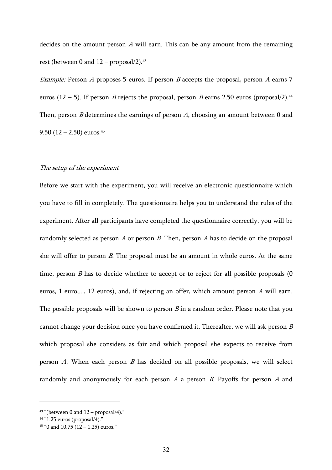decides on the amount person A will earn. This can be any amount from the remaining rest (between 0 and  $12$  – proposal/2).<sup>43</sup>

*Example:* Person A proposes 5 euros. If person B accepts the proposal, person A earns 7 euros (12 – 5). If person B rejects the proposal, person B earns 2.50 euros (proposal/2).<sup>44</sup> Then, person  $B$  determines the earnings of person  $A$ , choosing an amount between 0 and 9.50 (12 – 2.50) euros.<sup>45</sup>

# The setup of the experiment

Before we start with the experiment, you will receive an electronic questionnaire which you have to fill in completely. The questionnaire helps you to understand the rules of the experiment. After all participants have completed the questionnaire correctly, you will be randomly selected as person  $A$  or person  $B$ . Then, person  $A$  has to decide on the proposal she will offer to person *B*. The proposal must be an amount in whole euros. At the same time, person  $B$  has to decide whether to accept or to reject for all possible proposals  $(0)$ euros, 1 euro,..., 12 euros), and, if rejecting an offer, which amount person  $A$  will earn. The possible proposals will be shown to person  $B$  in a random order. Please note that you cannot change your decision once you have confirmed it. Thereafter, we will ask person  $B$ which proposal she considers as fair and which proposal she expects to receive from person  $A$ . When each person  $B$  has decided on all possible proposals, we will select randomly and anonymously for each person  $A$  a person  $B$ . Payoffs for person  $A$  and

 $43$  "(between 0 and  $12$  – proposal/4)."

<sup>44 &</sup>quot;1.25 euros (proposal/4)."

 $45$  "0 and 10.75 (12 – 1.25) euros."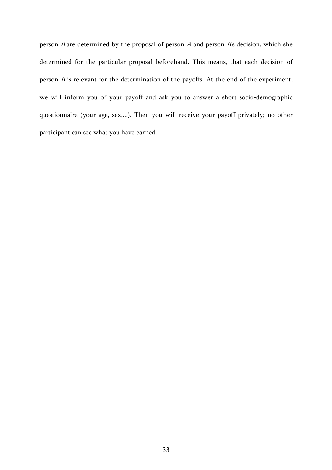person  $B$  are determined by the proposal of person  $A$  and person  $B$ s decision, which she determined for the particular proposal beforehand. This means, that each decision of person  $B$  is relevant for the determination of the payoffs. At the end of the experiment, we will inform you of your payoff and ask you to answer a short socio-demographic questionnaire (your age, sex,...). Then you will receive your payoff privately; no other participant can see what you have earned.